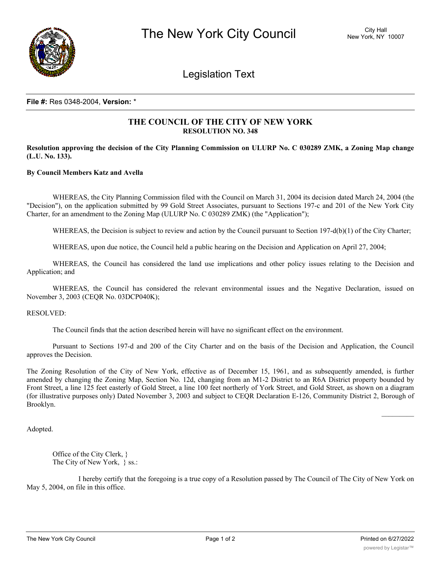

Legislation Text

## **File #:** Res 0348-2004, **Version:** \*

## **THE COUNCIL OF THE CITY OF NEW YORK RESOLUTION NO. 348**

Resolution approving the decision of the City Planning Commission on ULURP No. C 030289 ZMK, a Zoning Map change **(L.U. No. 133).**

## **By Council Members Katz and Avella**

WHEREAS, the City Planning Commission filed with the Council on March 31, 2004 its decision dated March 24, 2004 (the "Decision"), on the application submitted by 99 Gold Street Associates, pursuant to Sections 197-c and 201 of the New York City Charter, for an amendment to the Zoning Map (ULURP No. C 030289 ZMK) (the "Application");

WHEREAS, the Decision is subject to review and action by the Council pursuant to Section 197-d(b)(1) of the City Charter;

WHEREAS, upon due notice, the Council held a public hearing on the Decision and Application on April 27, 2004;

WHEREAS, the Council has considered the land use implications and other policy issues relating to the Decision and Application; and

WHEREAS, the Council has considered the relevant environmental issues and the Negative Declaration, issued on November 3, 2003 (CEQR No. 03DCP040K);

## RESOLVED:

The Council finds that the action described herein will have no significant effect on the environment.

Pursuant to Sections 197-d and 200 of the City Charter and on the basis of the Decision and Application, the Council approves the Decision.

The Zoning Resolution of the City of New York, effective as of December 15, 1961, and as subsequently amended, is further amended by changing the Zoning Map, Section No. 12d, changing from an M1-2 District to an R6A District property bounded by Front Street, a line 125 feet easterly of Gold Street, a line 100 feet northerly of York Street, and Gold Street, as shown on a diagram (for illustrative purposes only) Dated November 3, 2003 and subject to CEQR Declaration E-126, Community District 2, Borough of Brooklyn.

Adopted.

Office of the City Clerk, } The City of New York, } ss.:

I hereby certify that the foregoing is a true copy of a Resolution passed by The Council of The City of New York on May 5, 2004, on file in this office.

 $\frac{1}{2}$